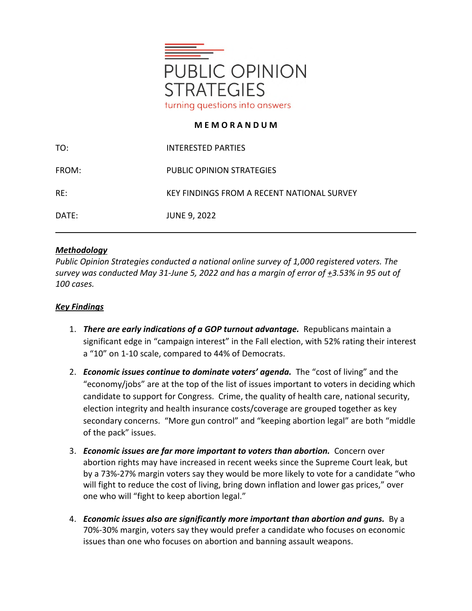

## **M E M O R A N D U M**

| TO:   | INTERESTED PARTIES                         |
|-------|--------------------------------------------|
| FROM: | PUBLIC OPINION STRATEGIES                  |
| RE:   | KEY FINDINGS FROM A RECENT NATIONAL SURVEY |
| DATE: | <b>JUNE 9, 2022</b>                        |

## *Methodology*

*Public Opinion Strategies conducted a national online survey of 1,000 registered voters. The survey was conducted May 31-June 5, 2022 and has a margin of error of +3.53% in 95 out of 100 cases.*

## *Key Findings*

- 1. *There are early indications of a GOP turnout advantage.* Republicans maintain a significant edge in "campaign interest" in the Fall election, with 52% rating their interest a "10" on 1-10 scale, compared to 44% of Democrats.
- 2. *Economic issues continue to dominate voters' agenda*. The "cost of living" and the "economy/jobs" are at the top of the list of issues important to voters in deciding which candidate to support for Congress. Crime, the quality of health care, national security, election integrity and health insurance costs/coverage are grouped together as key secondary concerns. "More gun control" and "keeping abortion legal" are both "middle of the pack" issues.
- 3. *Economic issues are far more important to voters than abortion.* Concern over abortion rights may have increased in recent weeks since the Supreme Court leak, but by a 73%-27% margin voters say they would be more likely to vote for a candidate "who will fight to reduce the cost of living, bring down inflation and lower gas prices," over one who will "fight to keep abortion legal."
- 4. *Economic issues also are significantly more important than abortion and guns.* By a 70%-30% margin, voters say they would prefer a candidate who focuses on economic issues than one who focuses on abortion and banning assault weapons.